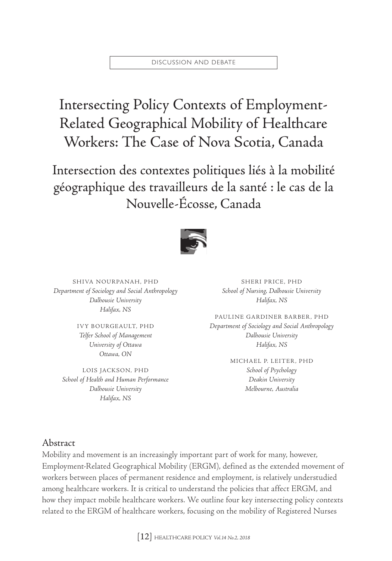#### DISCUSSION AND DEBATE

Intersecting Policy Contexts of Employment-Related Geographical Mobility of Healthcare Workers: The Case of Nova Scotia, Canada

Intersection des contextes politiques liés à la mobilité géographique des travailleurs de la santé : le cas de la Nouvelle-Écosse, Canada



SHIVA NOURPANAH, PHD *Department of Sociology and Social Anthropology Dalhousie University Halifax, NS*

> IVY B OURGEAULT, PHD *Telfer School of Management University of Ottawa Ottawa, ON*

LOIS JACKSON, PHD *School of Health and Human Performance Dalhousie University Halifax, NS*

SHERI PRICE, PHD *School of Nursing, Dalhousie University Halifax, NS*

PAULINE GARDINER BARBER , PHD *Department of Sociology and Social Anthropology Dalhousie University Halifax, NS*

> MICHAEL P. LEITER, PHD *School of Psychology Deakin University Melbourne, Australia*

## Abstract

Mobility and movement is an increasingly important part of work for many, however, Employment-Related Geographical Mobility (ERGM), defined as the extended movement of workers between places of permanent residence and employment, is relatively understudied among healthcare workers. It is critical to understand the policies that affect ERGM, and how they impact mobile healthcare workers. We outline four key intersecting policy contexts related to the ERGM of healthcare workers, focusing on the mobility of Registered Nurses

[12] HEALTHCARE POLICY *Vol.14 No.2, 2018*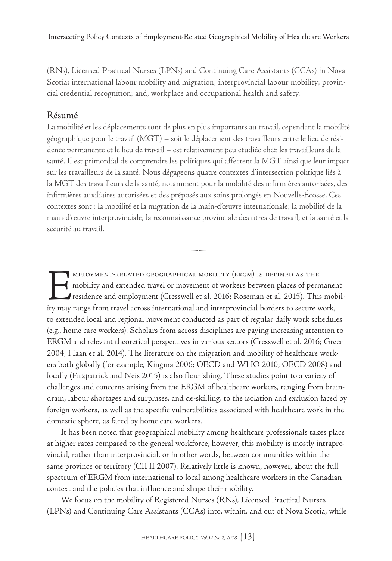(RNs), Licensed Practical Nurses (LPNs) and Continuing Care Assistants (CCAs) in Nova Scotia: international labour mobility and migration; interprovincial labour mobility; provincial credential recognition; and, workplace and occupational health and safety.

## Résumé

La mobilité et les déplacements sont de plus en plus importants au travail, cependant la mobilité géographique pour le travail (MGT) – soit le déplacement des travailleurs entre le lieu de résidence permanente et le lieu de travail – est relativement peu étudiée chez les travailleurs de la santé. Il est primordial de comprendre les politiques qui affectent la MGT ainsi que leur impact sur les travailleurs de la santé. Nous dégageons quatre contextes d'intersection politique liés à la MGT des travailleurs de la santé, notamment pour la mobilité des infirmières autorisées, des infirmières auxiliaires autorisées et des préposés aux soins prolongés en Nouvelle-Écosse. Ces contextes sont : la mobilité et la migration de la main-d'œuvre internationale; la mobilité de la main-d'œuvre interprovinciale; la reconnaissance provinciale des titres de travail; et la santé et la sécurité au travail.

 $\overline{\phantom{a}}$ 

MPLOYMENT-RELATED GEOGRAPHICAL MOBILITY (ERGM) IS DEFINED AS THE<br>mobility and extended travel or movement of workers between places of pern<br>residence and employment (Cresswell et al. 2016; Roseman et al. 2015). This<br>ity ma mobility and extended travel or movement of workers between places of permanent residence and employment (Cresswell et al. 2016; Roseman et al. 2015). This mobility may range from travel across international and interprovincial borders to secure work, to extended local and regional movement conducted as part of regular daily work schedules (e.g., home care workers). Scholars from across disciplines are paying increasing attention to ERGM and relevant theoretical perspectives in various sectors (Cresswell et al. 2016; Green 2004; Haan et al. 2014). The literature on the migration and mobility of healthcare workers both globally (for example, Kingma 2006; OECD and WHO 2010; OECD 2008) and locally (Fitzpatrick and Neis 2015) is also flourishing. These studies point to a variety of challenges and concerns arising from the ERGM of healthcare workers, ranging from braindrain, labour shortages and surpluses, and de-skilling, to the isolation and exclusion faced by foreign workers, as well as the specific vulnerabilities associated with healthcare work in the domestic sphere, as faced by home care workers.

It has been noted that geographical mobility among healthcare professionals takes place at higher rates compared to the general workforce, however, this mobility is mostly intraprovincial, rather than interprovincial, or in other words, between communities within the same province or territory (CIHI 2007). Relatively little is known, however, about the full spectrum of ERGM from international to local among healthcare workers in the Canadian context and the policies that influence and shape their mobility.

We focus on the mobility of Registered Nurses (RNs), Licensed Practical Nurses (LPNs) and Continuing Care Assistants (CCAs) into, within, and out of Nova Scotia, while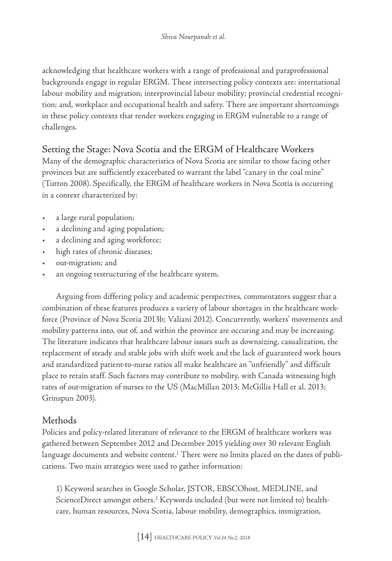acknowledging that healthcare workers with a range of professional and paraprofessional backgrounds engage in regular ERGM. These intersecting policy contexts are: international labour mobility and migration; interprovincial labour mobility; provincial credential recognition; and, workplace and occupational health and safety. There are important shortcomings in these policy contexts that render workers engaging in ERGM vulnerable to a range of challenges.

# Setting the Stage: Nova Scotia and the ERGM of Healthcare Workers

Many of the demographic characteristics of Nova Scotia are similar to those facing other provinces but are sufficiently exacerbated to warrant the label "canary in the coal mine" (Tutton 2008). Specifically, the ERGM of healthcare workers in Nova Scotia is occurring in a context characterized by:

- a large rural population;
- a declining and aging population;
- a declining and aging workforce;
- high rates of chronic diseases;
- out-migration; and
- an ongoing restructuring of the healthcare system.

Arguing from differing policy and academic perspectives, commentators suggest that a combination of these features produces a variety of labour shortages in the healthcare workforce (Province of Nova Scotia 2013b; Valiani 2012). Concurrently, workers' movements and mobility patterns into, out of, and within the province are occuring and may be increasing. The literature indicates that healthcare labour issues such as downsizing, casualization, the replacement of steady and stable jobs with shift work and the lack of guaranteed work hours and standardized patient-to-nurse ratios all make healthcare an "unfriendly" and difficult place to retain staff. Such factors may contribute to mobility, with Canada witnessing high rates of out-migration of nurses to the US (MacMillan 2013; McGillis Hall et al. 2013; Grinspun 2003).

# Methods

Policies and policy-related literature of relevance to the ERGM of healthcare workers was gathered between September 2012 and December 2015 yielding over 30 relevant English language documents and website content.<sup>1</sup> There were no limits placed on the dates of publications. Two main strategies were used to gather information:

1) Keyword searches in Google Scholar, JSTOR, EBSCOhost, MEDLINE, and ScienceDirect amongst others.<sup>2</sup> Keywords included (but were not limited to) healthcare, human resources, Nova Scotia, labour mobility, demographics, immigration,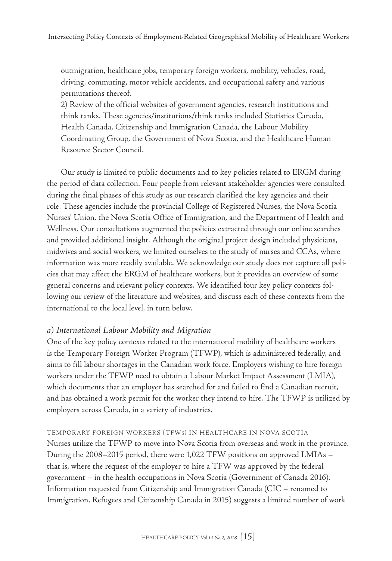outmigration, healthcare jobs, temporary foreign workers, mobility, vehicles, road, driving, commuting, motor vehicle accidents, and occupational safety and various permutations thereof.

2) Review of the official websites of government agencies, research institutions and think tanks. These agencies/institutions/think tanks included Statistics Canada, Health Canada, Citizenship and Immigration Canada, the Labour Mobility Coordinating Group, the Government of Nova Scotia, and the Healthcare Human Resource Sector Council.

Our study is limited to public documents and to key policies related to ERGM during the period of data collection. Four people from relevant stakeholder agencies were consulted during the final phases of this study as our research clarified the key agencies and their role. These agencies include the provincial College of Registered Nurses, the Nova Scotia Nurses' Union, the Nova Scotia Office of Immigration, and the Department of Health and Wellness. Our consultations augmented the policies extracted through our online searches and provided additional insight. Although the original project design included physicians, midwives and social workers, we limited ourselves to the study of nurses and CCAs, where information was more readily available. We acknowledge our study does not capture all policies that may affect the ERGM of healthcare workers, but it provides an overview of some general concerns and relevant policy contexts. We identified four key policy contexts following our review of the literature and websites, and discuss each of these contexts from the international to the local level, in turn below.

## *a) International Labour Mobility and Migration*

One of the key policy contexts related to the international mobility of healthcare workers is the Temporary Foreign Worker Program (TFWP), which is administered federally, and aims to fill labour shortages in the Canadian work force. Employers wishing to hire foreign workers under the TFWP need to obtain a Labour Market Impact Assessment (LMIA), which documents that an employer has searched for and failed to find a Canadian recruit, and has obtained a work permit for the worker they intend to hire. The TFWP is utilized by employers across Canada, in a variety of industries.

TEMPORARY FOREIGN WORKERS (TFWS) IN HEALTHCARE IN NOVA SCOTIA Nurses utilize the TFWP to move into Nova Scotia from overseas and work in the province. During the 2008–2015 period, there were 1,022 TFW positions on approved LMIAs – that is, where the request of the employer to hire a TFW was approved by the federal government – in the health occupations in Nova Scotia (Government of Canada 2016). Information requested from Citizenship and Immigration Canada (CIC – renamed to Immigration, Refugees and Citizenship Canada in 2015) suggests a limited number of work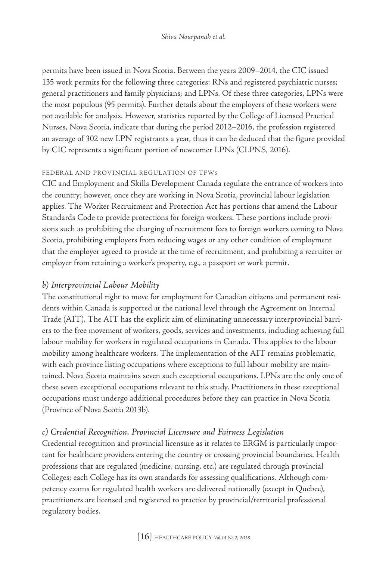permits have been issued in Nova Scotia. Between the years 2009–2014, the CIC issued 135 work permits for the following three categories: RNs and registered psychiatric nurses; general practitioners and family physicians; and LPNs. Of these three categories, LPNs were the most populous (95 permits). Further details about the employers of these workers were not available for analysis. However, statistics reported by the College of Licensed Practical Nurses, Nova Scotia, indicate that during the period 2012–2016, the profession registered an average of 302 new LPN registrants a year, thus it can be deduced that the figure provided by CIC represents a significant portion of newcomer LPNs (CLPNS, 2016).

## FEDERAL AND PROVINCIAL REGULATION OF TFWS

CIC and Employment and Skills Development Canada regulate the entrance of workers into the country; however, once they are working in Nova Scotia, provincial labour legislation applies. The Worker Recruitment and Protection Act has portions that amend the Labour Standards Code to provide protections for foreign workers. These portions include provisions such as prohibiting the charging of recruitment fees to foreign workers coming to Nova Scotia, prohibiting employers from reducing wages or any other condition of employment that the employer agreed to provide at the time of recruitment, and prohibiting a recruiter or employer from retaining a worker's property, e.g., a passport or work permit.

# *b) Interprovincial Labour Mobility*

The constitutional right to move for employment for Canadian citizens and permanent residents within Canada is supported at the national level through the Agreement on Internal Trade (AIT). The AIT has the explicit aim of eliminating unnecessary interprovincial barriers to the free movement of workers, goods, services and investments, including achieving full labour mobility for workers in regulated occupations in Canada. This applies to the labour mobility among healthcare workers. The implementation of the AIT remains problematic, with each province listing occupations where exceptions to full labour mobility are maintained. Nova Scotia maintains seven such exceptional occupations. LPNs are the only one of these seven exceptional occupations relevant to this study. Practitioners in these exceptional occupations must undergo additional procedures before they can practice in Nova Scotia (Province of Nova Scotia 2013b).

# *c) Credential Recognition, Provincial Licensure and Fairness Legislation*

Credential recognition and provincial licensure as it relates to ERGM is particularly important for healthcare providers entering the country or crossing provincial boundaries. Health professions that are regulated (medicine, nursing, etc.) are regulated through provincial Colleges; each College has its own standards for assessing qualifications. Although competency exams for regulated health workers are delivered nationally (except in Quebec), practitioners are licensed and registered to practice by provincial/territorial professional regulatory bodies.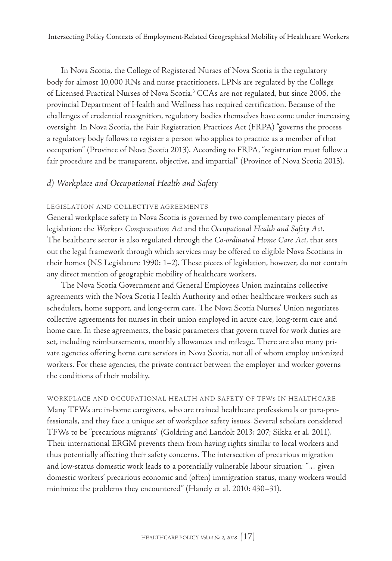In Nova Scotia, the College of Registered Nurses of Nova Scotia is the regulatory body for almost 10,000 RNs and nurse practitioners. LPNs are regulated by the College of Licensed Practical Nurses of Nova Scotia.<sup>3</sup> CCAs are not regulated, but since 2006, the provincial Department of Health and Wellness has required certification. Because of the challenges of credential recognition, regulatory bodies themselves have come under increasing oversight. In Nova Scotia, the Fair Registration Practices Act (FRPA) "governs the process a regulatory body follows to register a person who applies to practice as a member of that occupation" (Province of Nova Scotia 2013). According to FRPA, "registration must follow a fair procedure and be transparent, objective, and impartial" (Province of Nova Scotia 2013).

### *d) Workplace and Occupational Health and Safety*

#### LEGISLATION AND COLLECTIVE AGREEMENTS

General workplace safety in Nova Scotia is governed by two complementary pieces of legislation: the *Workers Compensation Act* and the *Occupational Health and Safety Act*. The healthcare sector is also regulated through the *Co-ordinated Home Care Act*, that sets out the legal framework through which services may be offered to eligible Nova Scotians in their homes (NS Legislature 1990: 1–2). These pieces of legislation, however, do not contain any direct mention of geographic mobility of healthcare workers.

The Nova Scotia Government and General Employees Union maintains collective agreements with the Nova Scotia Health Authority and other healthcare workers such as schedulers, home support, and long-term care. The Nova Scotia Nurses' Union negotiates collective agreements for nurses in their union employed in acute care, long-term care and home care. In these agreements, the basic parameters that govern travel for work duties are set, including reimbursements, monthly allowances and mileage. There are also many private agencies offering home care services in Nova Scotia, not all of whom employ unionized workers. For these agencies, the private contract between the employer and worker governs the conditions of their mobility.

WORKPLACE AND OCCUPATIONAL HEALTH AND SAFETY OF TFWS IN HEALTHCARE Many TFWs are in-home caregivers, who are trained healthcare professionals or para-professionals, and they face a unique set of workplace safety issues. Several scholars considered TFWs to be "precarious migrants" (Goldring and Landolt 2013: 207; Sikka et al. 2011). Their international ERGM prevents them from having rights similar to local workers and thus potentially affecting their safety concerns. The intersection of precarious migration and low-status domestic work leads to a potentially vulnerable labour situation: "… given domestic workers' precarious economic and (often) immigration status, many workers would minimize the problems they encountered" (Hanely et al. 2010: 430–31).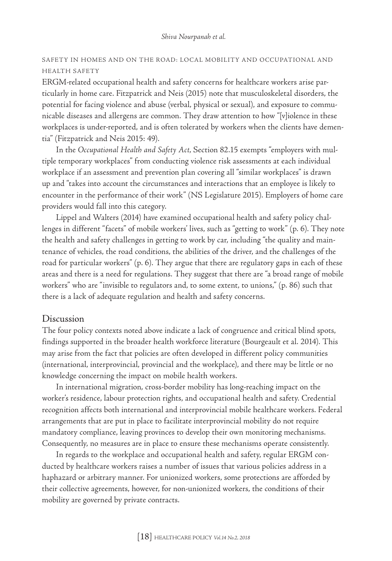### SAFETY IN HOMES AND ON THE ROAD: LOCAL MOBILITY AND OCCUPATIONAL AND HEALTH SAFETY

ERGM-related occupational health and safety concerns for healthcare workers arise particularly in home care. Fitzpatrick and Neis (2015) note that musculoskeletal disorders, the potential for facing violence and abuse (verbal, physical or sexual), and exposure to communicable diseases and allergens are common. They draw attention to how "[v]iolence in these workplaces is under-reported, and is often tolerated by workers when the clients have dementia" (Fitzpatrick and Neis 2015: 49).

In the *Occupational Health and Safety Act*, Section 82.15 exempts "employers with multiple temporary workplaces" from conducting violence risk assessments at each individual workplace if an assessment and prevention plan covering all "similar workplaces" is drawn up and "takes into account the circumstances and interactions that an employee is likely to encounter in the performance of their work" (NS Legislature 2015). Employers of home care providers would fall into this category.

Lippel and Walters (2014) have examined occupational health and safety policy challenges in different "facets" of mobile workers' lives, such as "getting to work" (p. 6). They note the health and safety challenges in getting to work by car, including "the quality and maintenance of vehicles, the road conditions, the abilities of the driver, and the challenges of the road for particular workers" (p. 6). They argue that there are regulatory gaps in each of these areas and there is a need for regulations. They suggest that there are "a broad range of mobile workers" who are "invisible to regulators and, to some extent, to unions," (p. 86) such that there is a lack of adequate regulation and health and safety concerns.

#### Discussion

The four policy contexts noted above indicate a lack of congruence and critical blind spots, findings supported in the broader health workforce literature (Bourgeault et al. 2014). This may arise from the fact that policies are often developed in different policy communities (international, interprovincial, provincial and the workplace), and there may be little or no knowledge concerning the impact on mobile health workers.

In international migration, cross-border mobility has long-reaching impact on the worker's residence, labour protection rights, and occupational health and safety. Credential recognition affects both international and interprovincial mobile healthcare workers. Federal arrangements that are put in place to facilitate interprovincial mobility do not require mandatory compliance, leaving provinces to develop their own monitoring mechanisms. Consequently, no measures are in place to ensure these mechanisms operate consistently.

In regards to the workplace and occupational health and safety, regular ERGM conducted by healthcare workers raises a number of issues that various policies address in a haphazard or arbitrary manner. For unionized workers, some protections are afforded by their collective agreements, however, for non-unionized workers, the conditions of their mobility are governed by private contracts.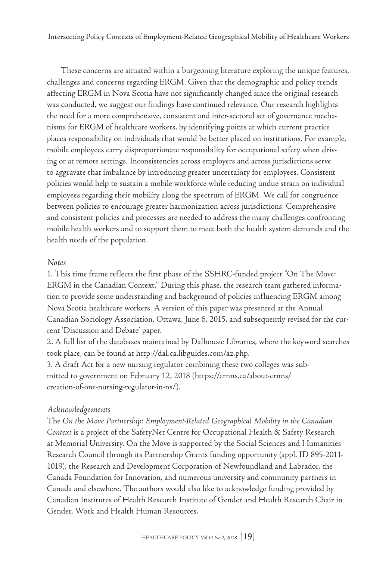These concerns are situated within a burgeoning literature exploring the unique features, challenges and concerns regarding ERGM. Given that the demographic and policy trends affecting ERGM in Nova Scotia have not significantly changed since the original research was conducted, we suggest our findings have continued relevance. Our research highlights the need for a more comprehensive, consistent and inter-sectoral set of governance mechanisms for ERGM of healthcare workers, by identifying points at which current practice places responsibility on individuals that would be better placed on institutions. For example, mobile employees carry disproportionate responsibility for occupational safety when driving or at remote settings. Inconsistencies across employers and across jurisdictions serve to aggravate that imbalance by introducing greater uncertainty for employees. Consistent policies would help to sustain a mobile workforce while reducing undue strain on individual employees regarding their mobility along the spectrum of ERGM. We call for congruence between policies to encourage greater harmonization across jurisdictions. Comprehensive and consistent policies and processes are needed to address the many challenges confronting mobile health workers and to support them to meet both the health system demands and the health needs of the population.

### *Notes*

1. This time frame reflects the first phase of the SSHRC-funded project "On The Move: ERGM in the Canadian Context." During this phase, the research team gathered information to provide some understanding and background of policies influencing ERGM among Nova Scotia healthcare workers. A version of this paper was presented at the Annual Canadian Sociology Association, Ottawa, June 6, 2015, and subsequently revised for the current 'Discussion and Debate' paper.

2. A full list of the databases maintained by Dalhousie Libraries, where the keyword searches took place, can be found at http://dal.ca.libguides.com/az.php.

3. A draft Act for a new nursing regulator combining these two colleges was submitted to government on February 12, 2018 (https://crnns.ca/about-crnns/ creation-of-one-nursing-regulator-in-ns/).

## *Acknowledgements*

The *On the Move Partnership: Employment-Related Geographical Mobility in the Canadian Context* is a project of the SafetyNet Centre for Occupational Health & Safety Research at Memorial University. On the Move is supported by the Social Sciences and Humanities Research Council through its Partnership Grants funding opportunity (appl. ID 895-2011- 1019), the Research and Development Corporation of Newfoundland and Labrador, the Canada Foundation for Innovation, and numerous university and community partners in Canada and elsewhere. The authors would also like to acknowledge funding provided by Canadian Institutes of Health Research Institute of Gender and Health Research Chair in Gender, Work and Health Human Resources.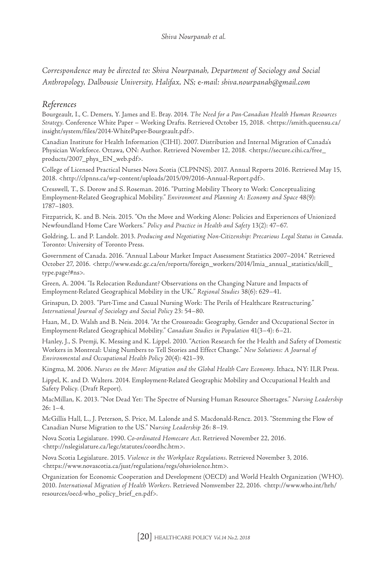*Correspondence may be directed to: Shiva Nourpanah, Department of Sociology and Social Anthropology, Dalhousie University, Halifax, NS;* e-*mail: shiva.nourpanah@gmail.com*

### *References*

Bourgeault, I., C. Demers, Y. James and E. Bray. 2014. *The Need for a Pan-Canadian Health Human Resources Strategy*. Conference White Paper – Working Drafts. Retrieved October 15, 2018. <https://smith.queensu.ca/ insight/system/files/2014-WhitePaper-Bourgeault.pdf>.

Canadian Institute for Health Information (CIHI). 2007. Distribution and Internal Migration of Canada's Physician Workforce. Ottawa, ON: Author. Retrieved November 12, 2018. <https://secure.cihi.ca/free\_ products/2007\_phys\_EN\_web.pdf>.

College of Licensed Practical Nurses Nova Scotia (CLPNNS). 2017. Annual Reports 2016. Retrieved May 15, 2018. <http://clpnns.ca/wp-content/uploads/2015/09/2016-Annual-Report.pdf>.

Cresswell, T., S. Dorow and S. Roseman. 2016. "Putting Mobility Theory to Work: Conceptualizing Employment-Related Geographical Mobility." *Environment and Planning A: Economy and Space* 48(9): 1787–1803.

Fitzpatrick, K. and B. Neis. 2015. "On the Move and Working Alone: Policies and Experiences of Unionized Newfoundland Home Care Workers." *Policy and Practice in Health and Safety* 13(2): 47–67.

Goldring, L. and P. Landolt. 2013. *Producing and Negotiating Non-Citizenship: Precarious Legal Status in Canada*. Toronto: University of Toronto Press.

Government of Canada. 2016. "Annual Labour Market Impact Assessment Statistics 2007–2014." Retrieved October 27, 2016. <http://www.esdc.gc.ca/en/reports/foreign\_workers/2014/lmia\_annual\_statistics/skill\_ type.page?#ns>.

Green, A. 2004. "Is Relocation Redundant? Observations on the Changing Nature and Impacts of Employment-Related Geographical Mobility in the UK." *Regional Studies* 38(6): 629–41.

Grinspun, D. 2003. "Part-Time and Casual Nursing Work: The Perils of Healthcare Restructuring." *International Journal of Sociology and Social Policy* 23: 54–80.

Haan, M., D. Walsh and B. Neis. 2014. "At the Crossroads: Geography, Gender and Occupational Sector in Employment-Related Geographical Mobility." *Canadian Studies in Population* 41(3–4): 6–21.

Hanley, J., S. Premji, K. Messing and K. Lippel. 2010. "Action Research for the Health and Safety of Domestic Workers in Montreal: Using Numbers to Tell Stories and Effect Change." *New Solutions: A Journal of Environmental and Occupational Health Policy* 20(4): 421–39.

Kingma, M. 2006. *Nurses on the Move: Migration and the Global Health Care Economy*. Ithaca, NY: ILR Press.

Lippel, K. and D. Walters. 2014. Employment-Related Geographic Mobility and Occupational Health and Safety Policy. (Draft Report).

MacMillan, K. 2013. "Not Dead Yet: The Spectre of Nursing Human Resource Shortages." *Nursing Leadership* 26: 1–4.

McGillis Hall, L., J. Peterson, S. Price, M. Lalonde and S. Macdonald-Rencz. 2013. "Stemming the Flow of Canadian Nurse Migration to the US." N*ursing Leadership* 26: 8–19.

Nova Scotia Legislature. 1990. *Co-ordinated Homecare Act*. Retrieved November 22, 2016. <http://nslegislature.ca/legc/statutes/coordhc.htm>.

Nova Scotia Legislature. 2015. *Violence in the Workplace Regulations*. Retrieved November 3, 2016. <https://www.novascotia.ca/just/regulations/regs/ohsviolence.htm>.

Organization for Economic Cooperation and Development (OECD) and World Health Organization (WHO). 2010. *International Migration of Health Workers*. Retrieved Nomvember 22, 2016. <http://www.who.int/hrh/ resources/oecd-who\_policy\_brief\_en.pdf>.